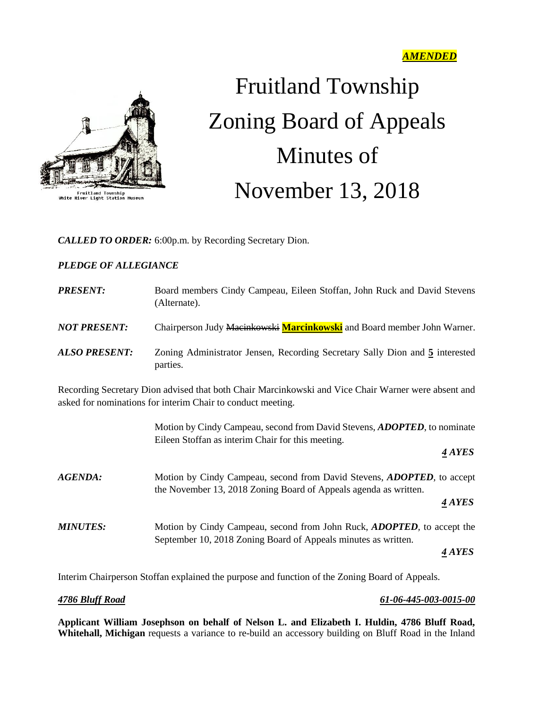

Fruitland Township<br>White River Light Station Muse

# Fruitland Township Zoning Board of Appeals Minutes of November 13, 2018

*CALLED TO ORDER:* 6:00p.m. by Recording Secretary Dion.

# *PLEDGE OF ALLEGIANCE*

| <b>PRESENT:</b>                                                                                                                                                    | Board members Cindy Campeau, Eileen Stoffan, John Ruck and David Stevens<br>(Alternate).                                                           |
|--------------------------------------------------------------------------------------------------------------------------------------------------------------------|----------------------------------------------------------------------------------------------------------------------------------------------------|
| <b>NOT PRESENT:</b>                                                                                                                                                | Chairperson Judy Macinkowski Marcinkowski and Board member John Warner.                                                                            |
| <b>ALSO PRESENT:</b>                                                                                                                                               | Zoning Administrator Jensen, Recording Secretary Sally Dion and 5 interested<br>parties.                                                           |
| Recording Secretary Dion advised that both Chair Marcinkowski and Vice Chair Warner were absent and<br>asked for nominations for interim Chair to conduct meeting. |                                                                                                                                                    |
|                                                                                                                                                                    | Motion by Cindy Campeau, second from David Stevens, <b>ADOPTED</b> , to nominate<br>Eileen Stoffan as interim Chair for this meeting.<br>4 AYES    |
| <b>AGENDA:</b>                                                                                                                                                     | Motion by Cindy Campeau, second from David Stevens, <b>ADOPTED</b> , to accept<br>the November 13, 2018 Zoning Board of Appeals agenda as written. |
|                                                                                                                                                                    | 4 AYES                                                                                                                                             |
| <b>MINUTES:</b>                                                                                                                                                    | Motion by Cindy Campeau, second from John Ruck, <i>ADOPTED</i> , to accept the<br>September 10, 2018 Zoning Board of Appeals minutes as written.   |
|                                                                                                                                                                    | 4 AYES                                                                                                                                             |

Interim Chairperson Stoffan explained the purpose and function of the Zoning Board of Appeals.

#### *4786 Bluff Road 61-06-445-003-0015-00*

**Applicant William Josephson on behalf of Nelson L. and Elizabeth I. Huldin, 4786 Bluff Road, Whitehall, Michigan** requests a variance to re-build an accessory building on Bluff Road in the Inland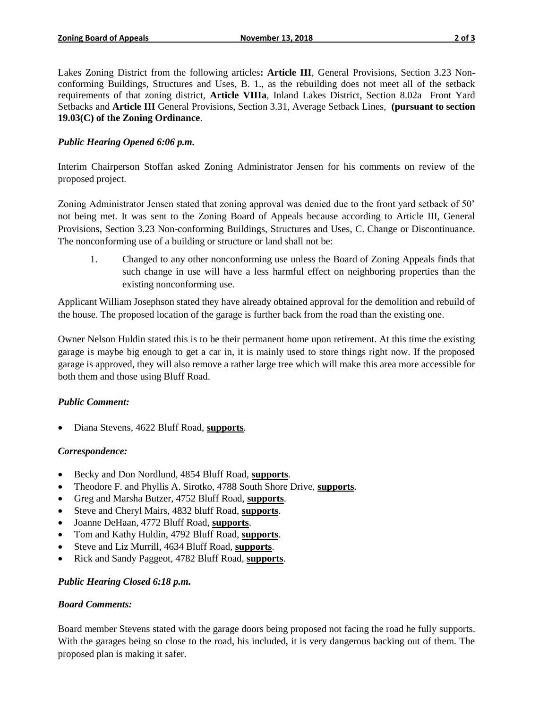Lakes Zoning District from the following articles**: Article III**, General Provisions, Section 3.23 Nonconforming Buildings, Structures and Uses, B. 1., as the rebuilding does not meet all of the setback requirements of that zoning district, **Article VIIIa**, Inland Lakes District, Section 8.02a Front Yard Setbacks and **Article III** General Provisions, Section 3.31, Average Setback Lines, **(pursuant to section 19.03(C) of the Zoning Ordinance**.

### *Public Hearing Opened 6:06 p.m.*

Interim Chairperson Stoffan asked Zoning Administrator Jensen for his comments on review of the proposed project.

Zoning Administrator Jensen stated that zoning approval was denied due to the front yard setback of 50' not being met. It was sent to the Zoning Board of Appeals because according to Article III, General Provisions, Section 3.23 Non-conforming Buildings, Structures and Uses, C. Change or Discontinuance. The nonconforming use of a building or structure or land shall not be:

1. Changed to any other nonconforming use unless the Board of Zoning Appeals finds that such change in use will have a less harmful effect on neighboring properties than the existing nonconforming use.

Applicant William Josephson stated they have already obtained approval for the demolition and rebuild of the house. The proposed location of the garage is further back from the road than the existing one.

Owner Nelson Huldin stated this is to be their permanent home upon retirement. At this time the existing garage is maybe big enough to get a car in, it is mainly used to store things right now. If the proposed garage is approved, they will also remove a rather large tree which will make this area more accessible for both them and those using Bluff Road.

#### *Public Comment:*

Diana Stevens, 4622 Bluff Road, **supports**.

#### *Correspondence:*

- Becky and Don Nordlund, 4854 Bluff Road, **supports**.
- Theodore F. and Phyllis A. Sirotko, 4788 South Shore Drive, **supports**.
- Greg and Marsha Butzer, 4752 Bluff Road, **supports**.
- Steve and Cheryl Mairs, 4832 bluff Road, **supports**.
- Joanne DeHaan, 4772 Bluff Road, **supports**.
- Tom and Kathy Huldin, 4792 Bluff Road, **supports**.
- Steve and Liz Murrill, 4634 Bluff Road, **supports**.
- Rick and Sandy Paggeot, 4782 Bluff Road, **supports**.

# *Public Hearing Closed 6:18 p.m.*

#### *Board Comments:*

Board member Stevens stated with the garage doors being proposed not facing the road he fully supports. With the garages being so close to the road, his included, it is very dangerous backing out of them. The proposed plan is making it safer.